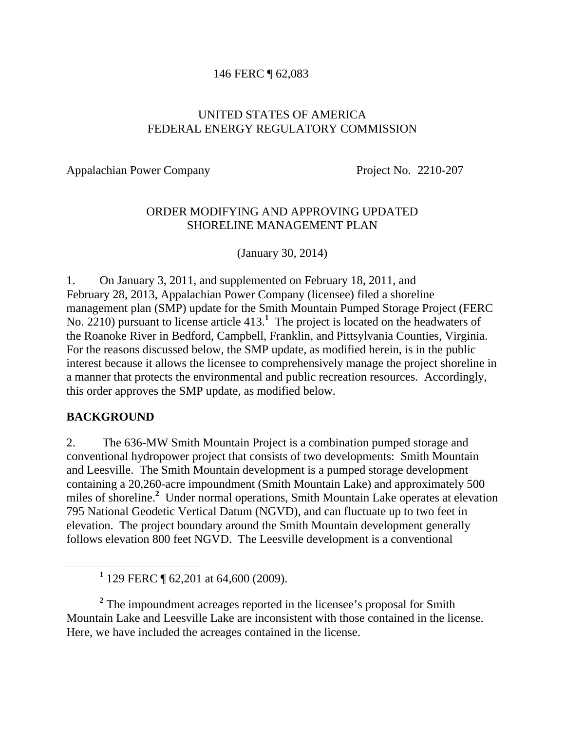#### 146 FERC ¶ 62,083

#### UNITED STATES OF AMERICA FEDERAL ENERGY REGULATORY COMMISSION

Appalachian Power Company Project No. 2210-207

#### ORDER MODIFYING AND APPROVING UPDATED SHORELINE MANAGEMENT PLAN

(January 30, 2014)

1. On January 3, 2011, and supplemented on February 18, 2011, and February 28, 2013, Appalachian Power Company (licensee) filed a shoreline management plan (SMP) update for the Smith Mountain Pumped Storage Project (FERC No. 2210) pursuant to license article 413.<sup>1</sup> The project is located on the headwaters of the Roanoke River in Bedford, Campbell, Franklin, and Pittsylvania Counties, Virginia. For the reasons discussed below, the SMP update, as modified herein, is in the public interest because it allows the licensee to comprehensively manage the project shoreline in a manner that protects the environmental and public recreation resources. Accordingly, this order approves the SMP update, as modified below.

#### **BACKGROUND**

2. The 636-MW Smith Mountain Project is a combination pumped storage and conventional hydropower project that consists of two developments: Smith Mountain and Leesville. The Smith Mountain development is a pumped storage development containing a 20,260-acre impoundment (Smith Mountain Lake) and approximately 500 miles of shoreline.**<sup>2</sup>** Under normal operations, Smith Mountain Lake operates at elevation 795 National Geodetic Vertical Datum (NGVD), and can fluctuate up to two feet in elevation. The project boundary around the Smith Mountain development generally follows elevation 800 feet NGVD. The Leesville development is a conventional

<sup>2</sup> The impoundment acreages reported in the licensee's proposal for Smith Mountain Lake and Leesville Lake are inconsistent with those contained in the license. Here, we have included the acreages contained in the license.

<sup>&</sup>lt;u>1</u> <sup>1</sup> 129 FERC  $\P$  62,201 at 64,600 (2009).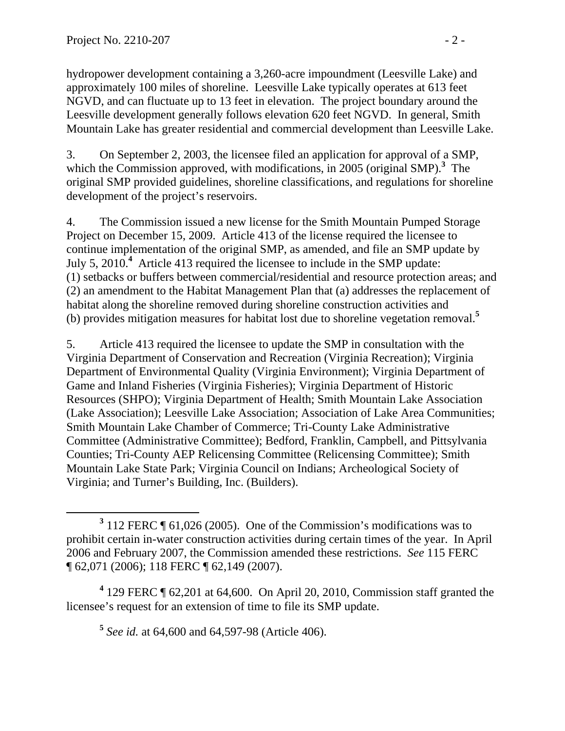hydropower development containing a 3,260-acre impoundment (Leesville Lake) and approximately 100 miles of shoreline. Leesville Lake typically operates at 613 feet NGVD, and can fluctuate up to 13 feet in elevation. The project boundary around the Leesville development generally follows elevation 620 feet NGVD. In general, Smith Mountain Lake has greater residential and commercial development than Leesville Lake.

3. On September 2, 2003, the licensee filed an application for approval of a SMP, which the Commission approved, with modifications, in 2005 (original SMP).<sup>3</sup> The original SMP provided guidelines, shoreline classifications, and regulations for shoreline development of the project's reservoirs.

4. The Commission issued a new license for the Smith Mountain Pumped Storage Project on December 15, 2009. Article 413 of the license required the licensee to continue implementation of the original SMP, as amended, and file an SMP update by July 5, 2010.**<sup>4</sup>** Article 413 required the licensee to include in the SMP update: (1) setbacks or buffers between commercial/residential and resource protection areas; and (2) an amendment to the Habitat Management Plan that (a) addresses the replacement of habitat along the shoreline removed during shoreline construction activities and (b) provides mitigation measures for habitat lost due to shoreline vegetation removal.**<sup>5</sup>**

5. Article 413 required the licensee to update the SMP in consultation with the Virginia Department of Conservation and Recreation (Virginia Recreation); Virginia Department of Environmental Quality (Virginia Environment); Virginia Department of Game and Inland Fisheries (Virginia Fisheries); Virginia Department of Historic Resources (SHPO); Virginia Department of Health; Smith Mountain Lake Association (Lake Association); Leesville Lake Association; Association of Lake Area Communities; Smith Mountain Lake Chamber of Commerce; Tri-County Lake Administrative Committee (Administrative Committee); Bedford, Franklin, Campbell, and Pittsylvania Counties; Tri-County AEP Relicensing Committee (Relicensing Committee); Smith Mountain Lake State Park; Virginia Council on Indians; Archeological Society of Virginia; and Turner's Building, Inc. (Builders).

<sup>4</sup> 129 FERC ¶ 62,201 at 64,600. On April 20, 2010, Commission staff granted the licensee's request for an extension of time to file its SMP update.

**<sup>5</sup>** *See id.* at 64,600 and 64,597-98 (Article 406).

**<sup>3</sup>**  $3$  112 FERC  $\P$  61,026 (2005). One of the Commission's modifications was to prohibit certain in-water construction activities during certain times of the year. In April 2006 and February 2007, the Commission amended these restrictions. *See* 115 FERC ¶ 62,071 (2006); 118 FERC ¶ 62,149 (2007).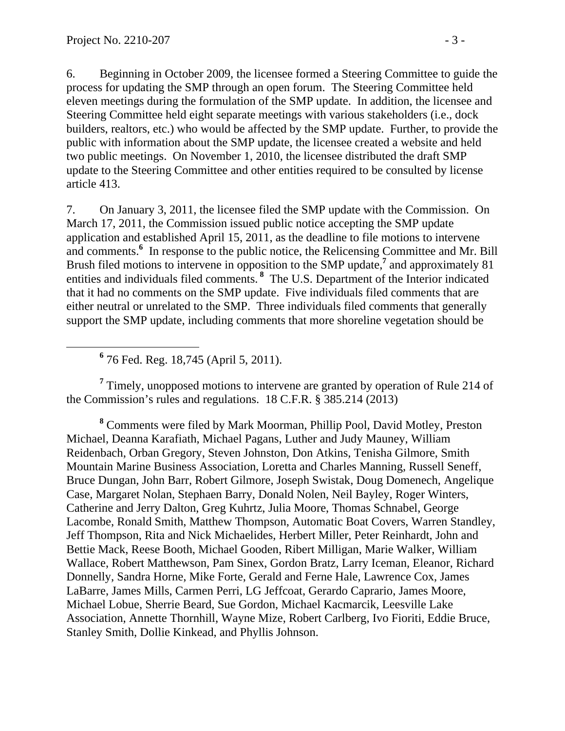6. Beginning in October 2009, the licensee formed a Steering Committee to guide the process for updating the SMP through an open forum. The Steering Committee held eleven meetings during the formulation of the SMP update. In addition, the licensee and Steering Committee held eight separate meetings with various stakeholders (i.e., dock builders, realtors, etc.) who would be affected by the SMP update. Further, to provide the public with information about the SMP update, the licensee created a website and held two public meetings. On November 1, 2010, the licensee distributed the draft SMP update to the Steering Committee and other entities required to be consulted by license article 413.

7. On January 3, 2011, the licensee filed the SMP update with the Commission. On March 17, 2011, the Commission issued public notice accepting the SMP update application and established April 15, 2011, as the deadline to file motions to intervene and comments.<sup>6</sup> In response to the public notice, the Relicensing Committee and Mr. Bill Brush filed motions to intervene in opposition to the SMP update,<sup>7</sup> and approximately 81 entities and individuals filed comments.<sup>8</sup> The U.S. Department of the Interior indicated that it had no comments on the SMP update. Five individuals filed comments that are either neutral or unrelated to the SMP. Three individuals filed comments that generally support the SMP update, including comments that more shoreline vegetation should be

 **<sup>6</sup>** 76 Fed. Reg. 18,745 (April 5, 2011).

<sup>7</sup> Timely, unopposed motions to intervene are granted by operation of Rule 214 of the Commission's rules and regulations. 18 C.F.R. § 385.214 (2013)

**8** Comments were filed by Mark Moorman, Phillip Pool, David Motley, Preston Michael, Deanna Karafiath, Michael Pagans, Luther and Judy Mauney, William Reidenbach, Orban Gregory, Steven Johnston, Don Atkins, Tenisha Gilmore, Smith Mountain Marine Business Association, Loretta and Charles Manning, Russell Seneff, Bruce Dungan, John Barr, Robert Gilmore, Joseph Swistak, Doug Domenech, Angelique Case, Margaret Nolan, Stephaen Barry, Donald Nolen, Neil Bayley, Roger Winters, Catherine and Jerry Dalton, Greg Kuhrtz, Julia Moore, Thomas Schnabel, George Lacombe, Ronald Smith, Matthew Thompson, Automatic Boat Covers, Warren Standley, Jeff Thompson, Rita and Nick Michaelides, Herbert Miller, Peter Reinhardt, John and Bettie Mack, Reese Booth, Michael Gooden, Ribert Milligan, Marie Walker, William Wallace, Robert Matthewson, Pam Sinex, Gordon Bratz, Larry Iceman, Eleanor, Richard Donnelly, Sandra Horne, Mike Forte, Gerald and Ferne Hale, Lawrence Cox, James LaBarre, James Mills, Carmen Perri, LG Jeffcoat, Gerardo Caprario, James Moore, Michael Lobue, Sherrie Beard, Sue Gordon, Michael Kacmarcik, Leesville Lake Association, Annette Thornhill, Wayne Mize, Robert Carlberg, Ivo Fioriti, Eddie Bruce, Stanley Smith, Dollie Kinkead, and Phyllis Johnson.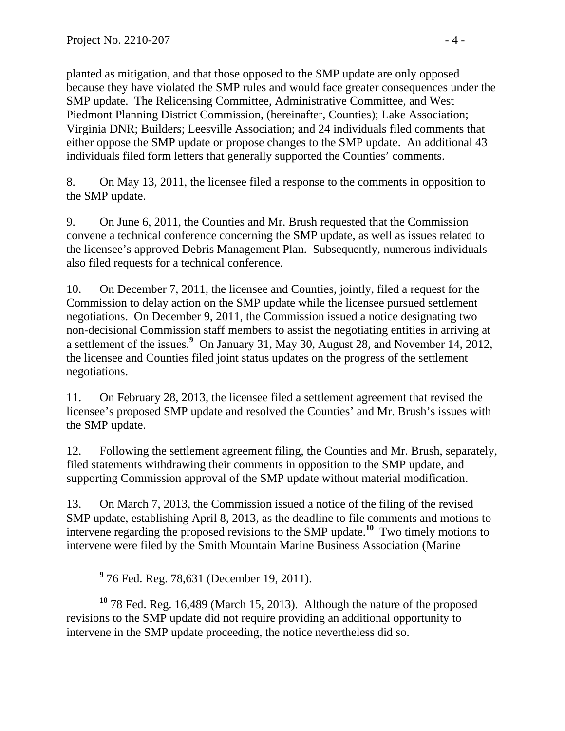planted as mitigation, and that those opposed to the SMP update are only opposed because they have violated the SMP rules and would face greater consequences under the SMP update. The Relicensing Committee, Administrative Committee, and West Piedmont Planning District Commission, (hereinafter, Counties); Lake Association; Virginia DNR; Builders; Leesville Association; and 24 individuals filed comments that either oppose the SMP update or propose changes to the SMP update. An additional 43 individuals filed form letters that generally supported the Counties' comments.

8. On May 13, 2011, the licensee filed a response to the comments in opposition to the SMP update.

9. On June 6, 2011, the Counties and Mr. Brush requested that the Commission convene a technical conference concerning the SMP update, as well as issues related to the licensee's approved Debris Management Plan. Subsequently, numerous individuals also filed requests for a technical conference.

10. On December 7, 2011, the licensee and Counties, jointly, filed a request for the Commission to delay action on the SMP update while the licensee pursued settlement negotiations. On December 9, 2011, the Commission issued a notice designating two non-decisional Commission staff members to assist the negotiating entities in arriving at a settlement of the issues.**<sup>9</sup>** On January 31, May 30, August 28, and November 14, 2012, the licensee and Counties filed joint status updates on the progress of the settlement negotiations.

11. On February 28, 2013, the licensee filed a settlement agreement that revised the licensee's proposed SMP update and resolved the Counties' and Mr. Brush's issues with the SMP update.

12. Following the settlement agreement filing, the Counties and Mr. Brush, separately, filed statements withdrawing their comments in opposition to the SMP update, and supporting Commission approval of the SMP update without material modification.

13. On March 7, 2013, the Commission issued a notice of the filing of the revised SMP update, establishing April 8, 2013, as the deadline to file comments and motions to intervene regarding the proposed revisions to the SMP update.**<sup>10</sup>** Two timely motions to intervene were filed by the Smith Mountain Marine Business Association (Marine

**<sup>10</sup>** 78 Fed. Reg. 16,489 (March 15, 2013). Although the nature of the proposed revisions to the SMP update did not require providing an additional opportunity to intervene in the SMP update proceeding, the notice nevertheless did so.

**<sup>9</sup>** 76 Fed. Reg. 78,631 (December 19, 2011).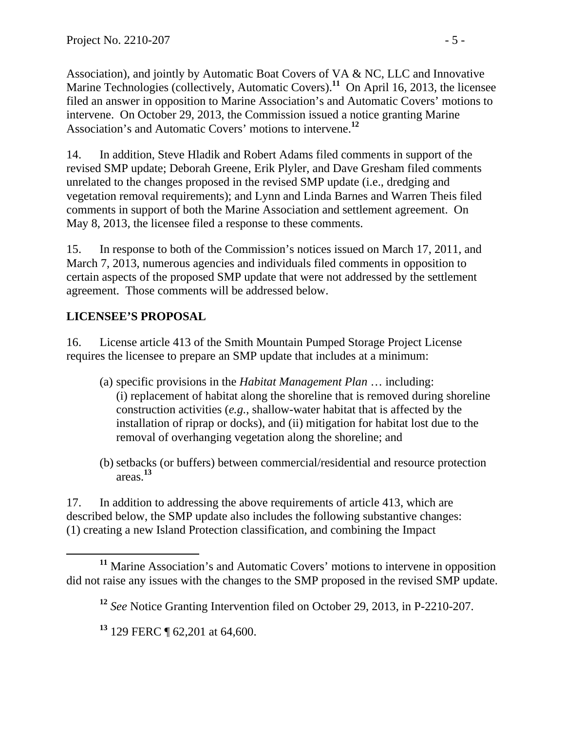Association), and jointly by Automatic Boat Covers of VA & NC, LLC and Innovative Marine Technologies (collectively, Automatic Covers).<sup>11</sup> On April 16, 2013, the licensee filed an answer in opposition to Marine Association's and Automatic Covers' motions to intervene. On October 29, 2013, the Commission issued a notice granting Marine Association's and Automatic Covers' motions to intervene.**<sup>12</sup>**

14. In addition, Steve Hladik and Robert Adams filed comments in support of the revised SMP update; Deborah Greene, Erik Plyler, and Dave Gresham filed comments unrelated to the changes proposed in the revised SMP update (i.e., dredging and vegetation removal requirements); and Lynn and Linda Barnes and Warren Theis filed comments in support of both the Marine Association and settlement agreement. On May 8, 2013, the licensee filed a response to these comments.

15. In response to both of the Commission's notices issued on March 17, 2011, and March 7, 2013, numerous agencies and individuals filed comments in opposition to certain aspects of the proposed SMP update that were not addressed by the settlement agreement. Those comments will be addressed below.

# **LICENSEE'S PROPOSAL**

16. License article 413 of the Smith Mountain Pumped Storage Project License requires the licensee to prepare an SMP update that includes at a minimum:

- (a) specific provisions in the *Habitat Management Plan* … including: (i) replacement of habitat along the shoreline that is removed during shoreline construction activities (*e.g.*, shallow-water habitat that is affected by the installation of riprap or docks), and (ii) mitigation for habitat lost due to the removal of overhanging vegetation along the shoreline; and
- (b) setbacks (or buffers) between commercial/residential and resource protection areas.**<sup>13</sup>**

17. In addition to addressing the above requirements of article 413, which are described below, the SMP update also includes the following substantive changes: (1) creating a new Island Protection classification, and combining the Impact

**<sup>11</sup>** Marine Association's and Automatic Covers' motions to intervene in opposition did not raise any issues with the changes to the SMP proposed in the revised SMP update.

**<sup>12</sup>** *See* Notice Granting Intervention filed on October 29, 2013, in P-2210-207.

**<sup>13</sup>** 129 FERC ¶ 62,201 at 64,600.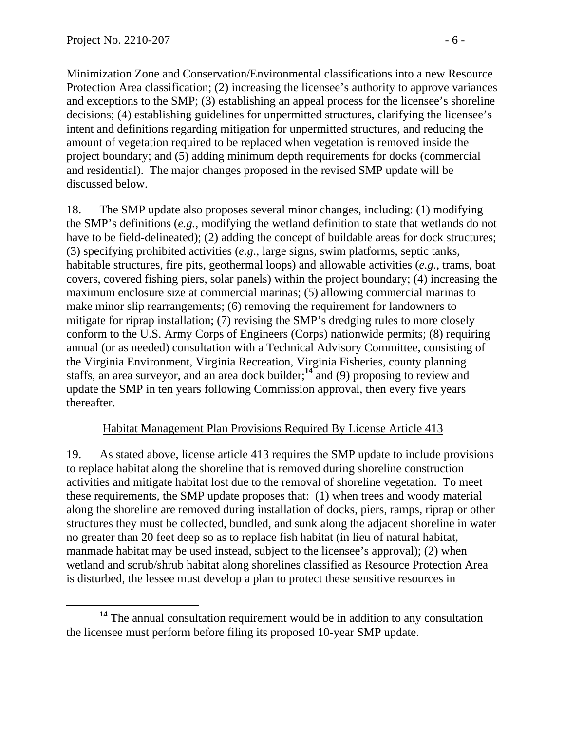Minimization Zone and Conservation/Environmental classifications into a new Resource Protection Area classification; (2) increasing the licensee's authority to approve variances and exceptions to the SMP; (3) establishing an appeal process for the licensee's shoreline decisions; (4) establishing guidelines for unpermitted structures, clarifying the licensee's intent and definitions regarding mitigation for unpermitted structures, and reducing the amount of vegetation required to be replaced when vegetation is removed inside the project boundary; and (5) adding minimum depth requirements for docks (commercial and residential). The major changes proposed in the revised SMP update will be discussed below.

18. The SMP update also proposes several minor changes, including: (1) modifying the SMP's definitions (*e.g.*, modifying the wetland definition to state that wetlands do not have to be field-delineated); (2) adding the concept of buildable areas for dock structures; (3) specifying prohibited activities (*e.g*., large signs, swim platforms, septic tanks, habitable structures, fire pits, geothermal loops) and allowable activities (*e.g.*, trams, boat covers, covered fishing piers, solar panels) within the project boundary; (4) increasing the maximum enclosure size at commercial marinas; (5) allowing commercial marinas to make minor slip rearrangements; (6) removing the requirement for landowners to mitigate for riprap installation; (7) revising the SMP's dredging rules to more closely conform to the U.S. Army Corps of Engineers (Corps) nationwide permits; (8) requiring annual (or as needed) consultation with a Technical Advisory Committee, consisting of the Virginia Environment, Virginia Recreation, Virginia Fisheries, county planning staffs, an area surveyor, and an area dock builder;**<sup>14</sup>** and (9) proposing to review and update the SMP in ten years following Commission approval, then every five years thereafter.

#### Habitat Management Plan Provisions Required By License Article 413

19. As stated above, license article 413 requires the SMP update to include provisions to replace habitat along the shoreline that is removed during shoreline construction activities and mitigate habitat lost due to the removal of shoreline vegetation. To meet these requirements, the SMP update proposes that: (1) when trees and woody material along the shoreline are removed during installation of docks, piers, ramps, riprap or other structures they must be collected, bundled, and sunk along the adjacent shoreline in water no greater than 20 feet deep so as to replace fish habitat (in lieu of natural habitat, manmade habitat may be used instead, subject to the licensee's approval); (2) when wetland and scrub/shrub habitat along shorelines classified as Resource Protection Area is disturbed, the lessee must develop a plan to protect these sensitive resources in

**<sup>14</sup>** The annual consultation requirement would be in addition to any consultation the licensee must perform before filing its proposed 10-year SMP update.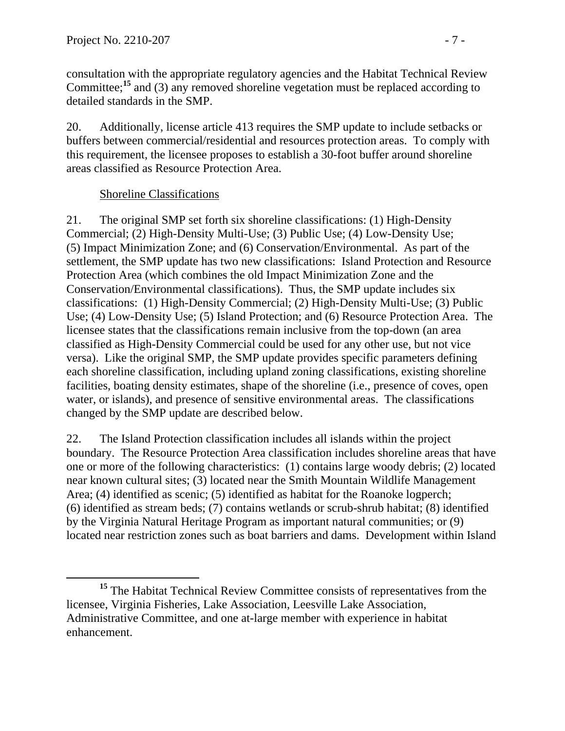consultation with the appropriate regulatory agencies and the Habitat Technical Review Committee;**<sup>15</sup>** and (3) any removed shoreline vegetation must be replaced according to detailed standards in the SMP.

20. Additionally, license article 413 requires the SMP update to include setbacks or buffers between commercial/residential and resources protection areas. To comply with this requirement, the licensee proposes to establish a 30-foot buffer around shoreline areas classified as Resource Protection Area.

## Shoreline Classifications

21. The original SMP set forth six shoreline classifications: (1) High-Density Commercial; (2) High-Density Multi-Use; (3) Public Use; (4) Low-Density Use; (5) Impact Minimization Zone; and (6) Conservation/Environmental. As part of the settlement, the SMP update has two new classifications: Island Protection and Resource Protection Area (which combines the old Impact Minimization Zone and the Conservation/Environmental classifications). Thus, the SMP update includes six classifications: (1) High-Density Commercial; (2) High-Density Multi-Use; (3) Public Use; (4) Low-Density Use; (5) Island Protection; and (6) Resource Protection Area. The licensee states that the classifications remain inclusive from the top-down (an area classified as High-Density Commercial could be used for any other use, but not vice versa). Like the original SMP, the SMP update provides specific parameters defining each shoreline classification, including upland zoning classifications, existing shoreline facilities, boating density estimates, shape of the shoreline (i.e., presence of coves, open water, or islands), and presence of sensitive environmental areas. The classifications changed by the SMP update are described below.

22. The Island Protection classification includes all islands within the project boundary. The Resource Protection Area classification includes shoreline areas that have one or more of the following characteristics: (1) contains large woody debris; (2) located near known cultural sites; (3) located near the Smith Mountain Wildlife Management Area; (4) identified as scenic; (5) identified as habitat for the Roanoke logperch; (6) identified as stream beds; (7) contains wetlands or scrub-shrub habitat; (8) identified by the Virginia Natural Heritage Program as important natural communities; or (9) located near restriction zones such as boat barriers and dams. Development within Island

**<sup>15</sup>** The Habitat Technical Review Committee consists of representatives from the licensee, Virginia Fisheries, Lake Association, Leesville Lake Association, Administrative Committee, and one at-large member with experience in habitat enhancement.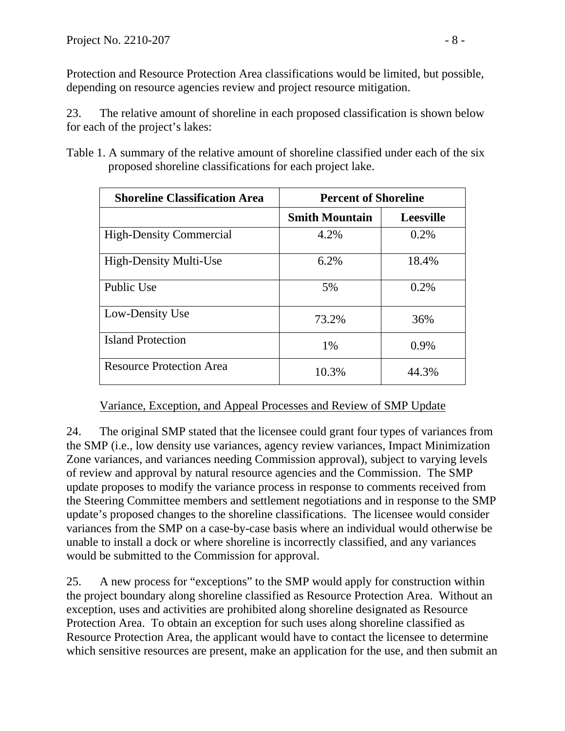Protection and Resource Protection Area classifications would be limited, but possible, depending on resource agencies review and project resource mitigation.

23. The relative amount of shoreline in each proposed classification is shown below for each of the project's lakes:

Table 1. A summary of the relative amount of shoreline classified under each of the six proposed shoreline classifications for each project lake.

| <b>Shoreline Classification Area</b> | <b>Percent of Shoreline</b> |                  |  |
|--------------------------------------|-----------------------------|------------------|--|
|                                      | <b>Smith Mountain</b>       | <b>Leesville</b> |  |
| <b>High-Density Commercial</b>       | 4.2%                        | 0.2%             |  |
| <b>High-Density Multi-Use</b>        | 6.2%                        | 18.4%            |  |
| Public Use                           | 5%                          | 0.2%             |  |
| Low-Density Use                      | 73.2%                       | 36%              |  |
| <b>Island Protection</b>             | 1%                          | 0.9%             |  |
| <b>Resource Protection Area</b>      | 10.3%                       | 44.3%            |  |

Variance, Exception, and Appeal Processes and Review of SMP Update

24. The original SMP stated that the licensee could grant four types of variances from the SMP (i.e., low density use variances, agency review variances, Impact Minimization Zone variances, and variances needing Commission approval), subject to varying levels of review and approval by natural resource agencies and the Commission. The SMP update proposes to modify the variance process in response to comments received from the Steering Committee members and settlement negotiations and in response to the SMP update's proposed changes to the shoreline classifications. The licensee would consider variances from the SMP on a case-by-case basis where an individual would otherwise be unable to install a dock or where shoreline is incorrectly classified, and any variances would be submitted to the Commission for approval.

25. A new process for "exceptions" to the SMP would apply for construction within the project boundary along shoreline classified as Resource Protection Area. Without an exception, uses and activities are prohibited along shoreline designated as Resource Protection Area. To obtain an exception for such uses along shoreline classified as Resource Protection Area, the applicant would have to contact the licensee to determine which sensitive resources are present, make an application for the use, and then submit an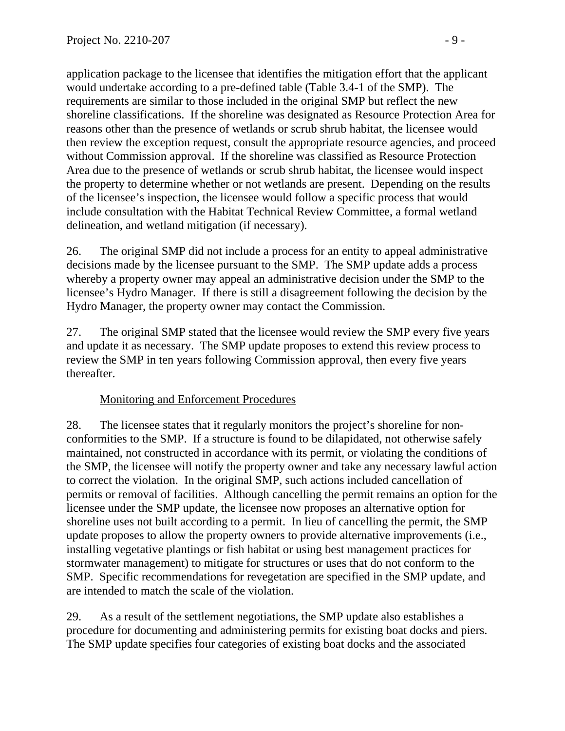application package to the licensee that identifies the mitigation effort that the applicant would undertake according to a pre-defined table (Table 3.4-1 of the SMP). The requirements are similar to those included in the original SMP but reflect the new shoreline classifications. If the shoreline was designated as Resource Protection Area for reasons other than the presence of wetlands or scrub shrub habitat, the licensee would then review the exception request, consult the appropriate resource agencies, and proceed without Commission approval. If the shoreline was classified as Resource Protection Area due to the presence of wetlands or scrub shrub habitat, the licensee would inspect the property to determine whether or not wetlands are present. Depending on the results of the licensee's inspection, the licensee would follow a specific process that would include consultation with the Habitat Technical Review Committee, a formal wetland delineation, and wetland mitigation (if necessary).

26. The original SMP did not include a process for an entity to appeal administrative decisions made by the licensee pursuant to the SMP. The SMP update adds a process whereby a property owner may appeal an administrative decision under the SMP to the licensee's Hydro Manager. If there is still a disagreement following the decision by the Hydro Manager, the property owner may contact the Commission.

27. The original SMP stated that the licensee would review the SMP every five years and update it as necessary. The SMP update proposes to extend this review process to review the SMP in ten years following Commission approval, then every five years thereafter.

## Monitoring and Enforcement Procedures

28. The licensee states that it regularly monitors the project's shoreline for nonconformities to the SMP. If a structure is found to be dilapidated, not otherwise safely maintained, not constructed in accordance with its permit, or violating the conditions of the SMP, the licensee will notify the property owner and take any necessary lawful action to correct the violation. In the original SMP, such actions included cancellation of permits or removal of facilities. Although cancelling the permit remains an option for the licensee under the SMP update, the licensee now proposes an alternative option for shoreline uses not built according to a permit. In lieu of cancelling the permit, the SMP update proposes to allow the property owners to provide alternative improvements (i.e., installing vegetative plantings or fish habitat or using best management practices for stormwater management) to mitigate for structures or uses that do not conform to the SMP. Specific recommendations for revegetation are specified in the SMP update, and are intended to match the scale of the violation.

29. As a result of the settlement negotiations, the SMP update also establishes a procedure for documenting and administering permits for existing boat docks and piers. The SMP update specifies four categories of existing boat docks and the associated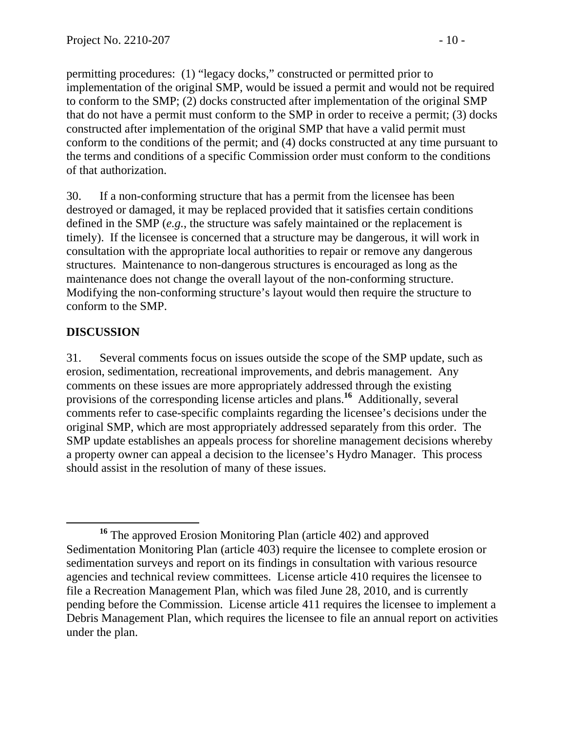permitting procedures: (1) "legacy docks," constructed or permitted prior to implementation of the original SMP, would be issued a permit and would not be required to conform to the SMP; (2) docks constructed after implementation of the original SMP that do not have a permit must conform to the SMP in order to receive a permit; (3) docks constructed after implementation of the original SMP that have a valid permit must conform to the conditions of the permit; and (4) docks constructed at any time pursuant to the terms and conditions of a specific Commission order must conform to the conditions of that authorization.

30. If a non-conforming structure that has a permit from the licensee has been destroyed or damaged, it may be replaced provided that it satisfies certain conditions defined in the SMP (*e.g.*, the structure was safely maintained or the replacement is timely). If the licensee is concerned that a structure may be dangerous, it will work in consultation with the appropriate local authorities to repair or remove any dangerous structures. Maintenance to non-dangerous structures is encouraged as long as the maintenance does not change the overall layout of the non-conforming structure. Modifying the non-conforming structure's layout would then require the structure to conform to the SMP.

## **DISCUSSION**

31. Several comments focus on issues outside the scope of the SMP update, such as erosion, sedimentation, recreational improvements, and debris management. Any comments on these issues are more appropriately addressed through the existing provisions of the corresponding license articles and plans.**<sup>16</sup>** Additionally, several comments refer to case-specific complaints regarding the licensee's decisions under the original SMP, which are most appropriately addressed separately from this order. The SMP update establishes an appeals process for shoreline management decisions whereby a property owner can appeal a decision to the licensee's Hydro Manager. This process should assist in the resolution of many of these issues.

**<sup>16</sup>** The approved Erosion Monitoring Plan (article 402) and approved Sedimentation Monitoring Plan (article 403) require the licensee to complete erosion or sedimentation surveys and report on its findings in consultation with various resource agencies and technical review committees. License article 410 requires the licensee to file a Recreation Management Plan, which was filed June 28, 2010, and is currently pending before the Commission. License article 411 requires the licensee to implement a Debris Management Plan, which requires the licensee to file an annual report on activities under the plan.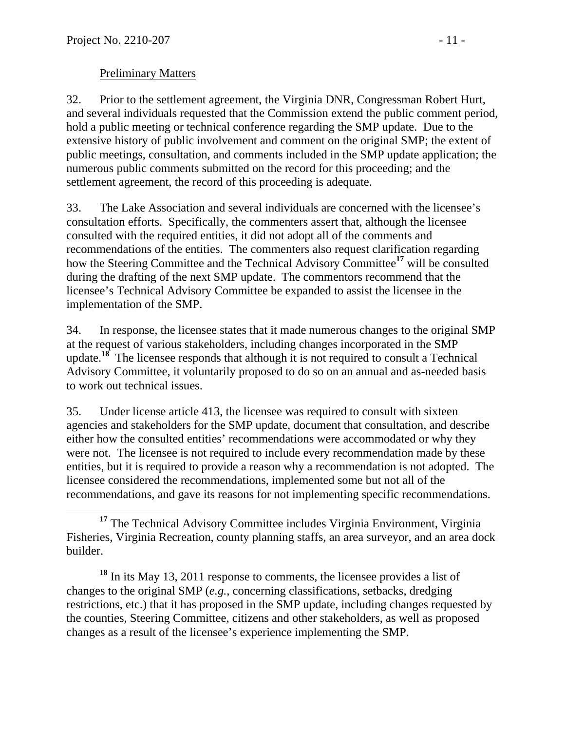### Preliminary Matters

32. Prior to the settlement agreement, the Virginia DNR, Congressman Robert Hurt, and several individuals requested that the Commission extend the public comment period, hold a public meeting or technical conference regarding the SMP update. Due to the extensive history of public involvement and comment on the original SMP; the extent of public meetings, consultation, and comments included in the SMP update application; the numerous public comments submitted on the record for this proceeding; and the settlement agreement, the record of this proceeding is adequate.

33. The Lake Association and several individuals are concerned with the licensee's consultation efforts. Specifically, the commenters assert that, although the licensee consulted with the required entities, it did not adopt all of the comments and recommendations of the entities. The commenters also request clarification regarding how the Steering Committee and the Technical Advisory Committee**<sup>17</sup>** will be consulted during the drafting of the next SMP update. The commentors recommend that the licensee's Technical Advisory Committee be expanded to assist the licensee in the implementation of the SMP.

34. In response, the licensee states that it made numerous changes to the original SMP at the request of various stakeholders, including changes incorporated in the SMP update.**<sup>18</sup>** The licensee responds that although it is not required to consult a Technical Advisory Committee, it voluntarily proposed to do so on an annual and as-needed basis to work out technical issues.

35. Under license article 413, the licensee was required to consult with sixteen agencies and stakeholders for the SMP update, document that consultation, and describe either how the consulted entities' recommendations were accommodated or why they were not. The licensee is not required to include every recommendation made by these entities, but it is required to provide a reason why a recommendation is not adopted. The licensee considered the recommendations, implemented some but not all of the recommendations, and gave its reasons for not implementing specific recommendations.

**<sup>18</sup>** In its May 13, 2011 response to comments, the licensee provides a list of changes to the original SMP (*e.g.*, concerning classifications, setbacks, dredging restrictions, etc.) that it has proposed in the SMP update, including changes requested by the counties, Steering Committee, citizens and other stakeholders, as well as proposed changes as a result of the licensee's experience implementing the SMP.

<sup>&</sup>lt;sup>17</sup> The Technical Advisory Committee includes Virginia Environment, Virginia Fisheries, Virginia Recreation, county planning staffs, an area surveyor, and an area dock builder.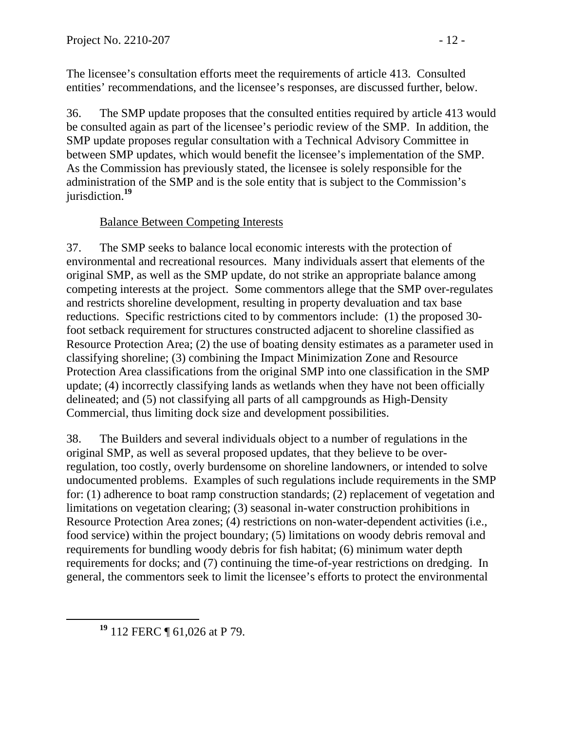The licensee's consultation efforts meet the requirements of article 413. Consulted entities' recommendations, and the licensee's responses, are discussed further, below.

36. The SMP update proposes that the consulted entities required by article 413 would be consulted again as part of the licensee's periodic review of the SMP. In addition, the SMP update proposes regular consultation with a Technical Advisory Committee in between SMP updates, which would benefit the licensee's implementation of the SMP. As the Commission has previously stated, the licensee is solely responsible for the administration of the SMP and is the sole entity that is subject to the Commission's jurisdiction.**<sup>19</sup>**

## Balance Between Competing Interests

37. The SMP seeks to balance local economic interests with the protection of environmental and recreational resources. Many individuals assert that elements of the original SMP, as well as the SMP update, do not strike an appropriate balance among competing interests at the project. Some commentors allege that the SMP over-regulates and restricts shoreline development, resulting in property devaluation and tax base reductions. Specific restrictions cited to by commentors include: (1) the proposed 30 foot setback requirement for structures constructed adjacent to shoreline classified as Resource Protection Area; (2) the use of boating density estimates as a parameter used in classifying shoreline; (3) combining the Impact Minimization Zone and Resource Protection Area classifications from the original SMP into one classification in the SMP update; (4) incorrectly classifying lands as wetlands when they have not been officially delineated; and (5) not classifying all parts of all campgrounds as High-Density Commercial, thus limiting dock size and development possibilities.

38. The Builders and several individuals object to a number of regulations in the original SMP, as well as several proposed updates, that they believe to be overregulation, too costly, overly burdensome on shoreline landowners, or intended to solve undocumented problems. Examples of such regulations include requirements in the SMP for: (1) adherence to boat ramp construction standards; (2) replacement of vegetation and limitations on vegetation clearing; (3) seasonal in-water construction prohibitions in Resource Protection Area zones; (4) restrictions on non-water-dependent activities (i.e., food service) within the project boundary; (5) limitations on woody debris removal and requirements for bundling woody debris for fish habitat; (6) minimum water depth requirements for docks; and (7) continuing the time-of-year restrictions on dredging. In general, the commentors seek to limit the licensee's efforts to protect the environmental

**<sup>19</sup>** 112 FERC ¶ 61,026 at P 79.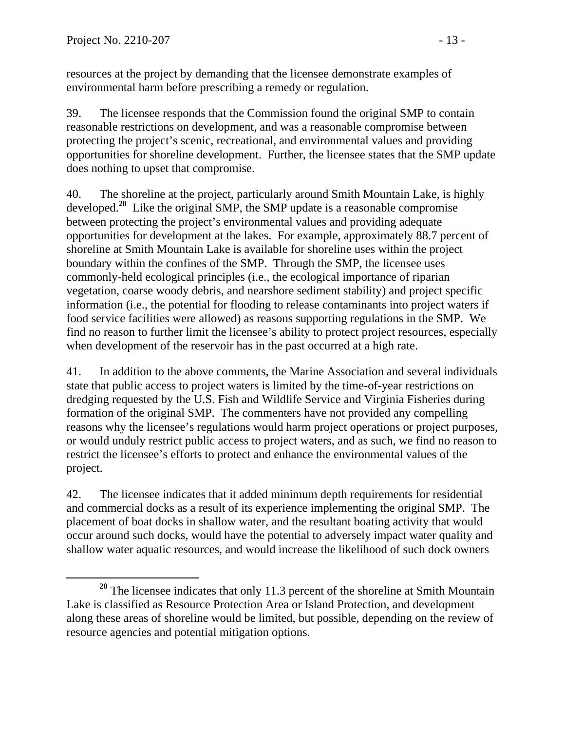resources at the project by demanding that the licensee demonstrate examples of environmental harm before prescribing a remedy or regulation.

39. The licensee responds that the Commission found the original SMP to contain reasonable restrictions on development, and was a reasonable compromise between protecting the project's scenic, recreational, and environmental values and providing opportunities for shoreline development. Further, the licensee states that the SMP update does nothing to upset that compromise.

40. The shoreline at the project, particularly around Smith Mountain Lake, is highly developed.**<sup>20</sup>** Like the original SMP, the SMP update is a reasonable compromise between protecting the project's environmental values and providing adequate opportunities for development at the lakes. For example, approximately 88.7 percent of shoreline at Smith Mountain Lake is available for shoreline uses within the project boundary within the confines of the SMP. Through the SMP, the licensee uses commonly-held ecological principles (i.e., the ecological importance of riparian vegetation, coarse woody debris, and nearshore sediment stability) and project specific information (i.e., the potential for flooding to release contaminants into project waters if food service facilities were allowed) as reasons supporting regulations in the SMP. We find no reason to further limit the licensee's ability to protect project resources, especially when development of the reservoir has in the past occurred at a high rate.

41. In addition to the above comments, the Marine Association and several individuals state that public access to project waters is limited by the time-of-year restrictions on dredging requested by the U.S. Fish and Wildlife Service and Virginia Fisheries during formation of the original SMP. The commenters have not provided any compelling reasons why the licensee's regulations would harm project operations or project purposes, or would unduly restrict public access to project waters, and as such, we find no reason to restrict the licensee's efforts to protect and enhance the environmental values of the project.

42. The licensee indicates that it added minimum depth requirements for residential and commercial docks as a result of its experience implementing the original SMP. The placement of boat docks in shallow water, and the resultant boating activity that would occur around such docks, would have the potential to adversely impact water quality and shallow water aquatic resources, and would increase the likelihood of such dock owners

**<sup>20</sup>** The licensee indicates that only 11.3 percent of the shoreline at Smith Mountain Lake is classified as Resource Protection Area or Island Protection, and development along these areas of shoreline would be limited, but possible, depending on the review of resource agencies and potential mitigation options.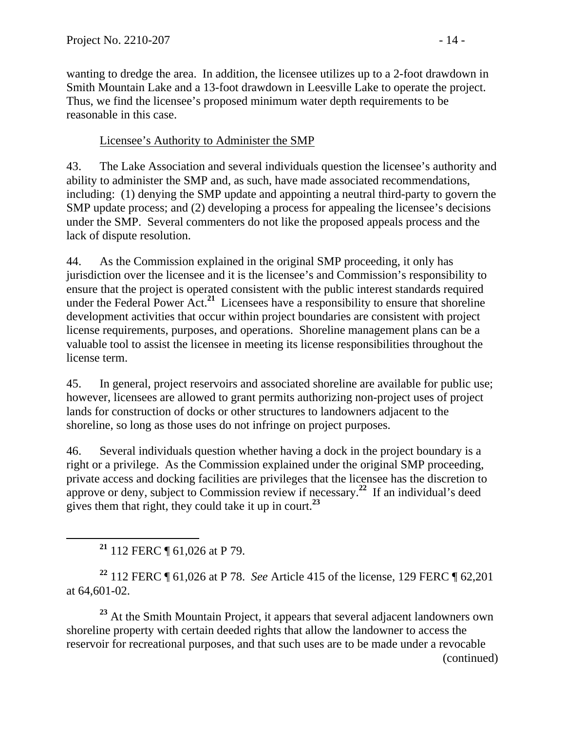wanting to dredge the area. In addition, the licensee utilizes up to a 2-foot drawdown in Smith Mountain Lake and a 13-foot drawdown in Leesville Lake to operate the project. Thus, we find the licensee's proposed minimum water depth requirements to be reasonable in this case.

### Licensee's Authority to Administer the SMP

43. The Lake Association and several individuals question the licensee's authority and ability to administer the SMP and, as such, have made associated recommendations, including: (1) denying the SMP update and appointing a neutral third-party to govern the SMP update process; and (2) developing a process for appealing the licensee's decisions under the SMP. Several commenters do not like the proposed appeals process and the lack of dispute resolution.

44. As the Commission explained in the original SMP proceeding, it only has jurisdiction over the licensee and it is the licensee's and Commission's responsibility to ensure that the project is operated consistent with the public interest standards required under the Federal Power Act.**<sup>21</sup>** Licensees have a responsibility to ensure that shoreline development activities that occur within project boundaries are consistent with project license requirements, purposes, and operations. Shoreline management plans can be a valuable tool to assist the licensee in meeting its license responsibilities throughout the license term.

45. In general, project reservoirs and associated shoreline are available for public use; however, licensees are allowed to grant permits authorizing non-project uses of project lands for construction of docks or other structures to landowners adjacent to the shoreline, so long as those uses do not infringe on project purposes.

46. Several individuals question whether having a dock in the project boundary is a right or a privilege. As the Commission explained under the original SMP proceeding, private access and docking facilities are privileges that the licensee has the discretion to approve or deny, subject to Commission review if necessary.**<sup>22</sup>** If an individual's deed gives them that right, they could take it up in court.**<sup>23</sup>**

**<sup>21</sup>** 112 FERC ¶ 61,026 at P 79.

**<sup>22</sup>** 112 FERC ¶ 61,026 at P 78. *See* Article 415 of the license, 129 FERC ¶ 62,201 at 64,601-02.

**<sup>23</sup>** At the Smith Mountain Project, it appears that several adjacent landowners own shoreline property with certain deeded rights that allow the landowner to access the reservoir for recreational purposes, and that such uses are to be made under a revocable (continued)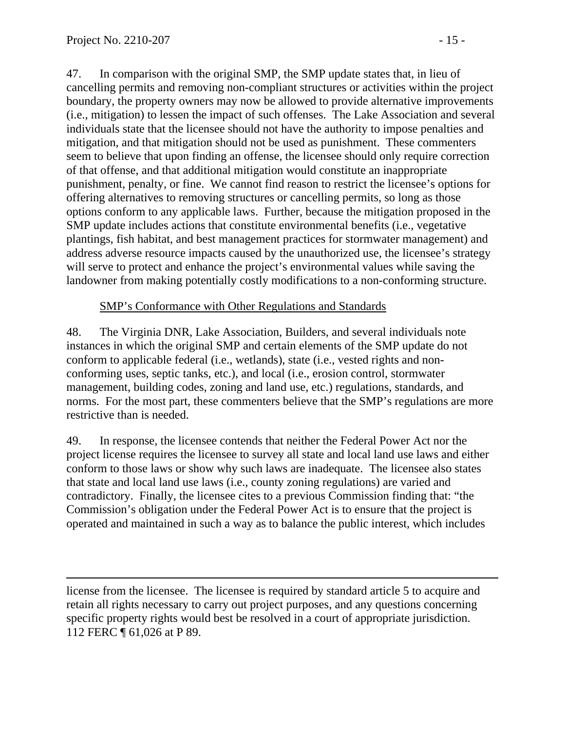$\overline{a}$ 

47. In comparison with the original SMP, the SMP update states that, in lieu of cancelling permits and removing non-compliant structures or activities within the project boundary, the property owners may now be allowed to provide alternative improvements (i.e., mitigation) to lessen the impact of such offenses. The Lake Association and several individuals state that the licensee should not have the authority to impose penalties and mitigation, and that mitigation should not be used as punishment. These commenters seem to believe that upon finding an offense, the licensee should only require correction of that offense, and that additional mitigation would constitute an inappropriate punishment, penalty, or fine. We cannot find reason to restrict the licensee's options for offering alternatives to removing structures or cancelling permits, so long as those options conform to any applicable laws. Further, because the mitigation proposed in the SMP update includes actions that constitute environmental benefits (i.e., vegetative plantings, fish habitat, and best management practices for stormwater management) and address adverse resource impacts caused by the unauthorized use, the licensee's strategy will serve to protect and enhance the project's environmental values while saving the landowner from making potentially costly modifications to a non-conforming structure.

### SMP's Conformance with Other Regulations and Standards

48. The Virginia DNR, Lake Association, Builders, and several individuals note instances in which the original SMP and certain elements of the SMP update do not conform to applicable federal (i.e., wetlands), state (i.e., vested rights and nonconforming uses, septic tanks, etc.), and local (i.e., erosion control, stormwater management, building codes, zoning and land use, etc.) regulations, standards, and norms. For the most part, these commenters believe that the SMP's regulations are more restrictive than is needed.

49. In response, the licensee contends that neither the Federal Power Act nor the project license requires the licensee to survey all state and local land use laws and either conform to those laws or show why such laws are inadequate. The licensee also states that state and local land use laws (i.e., county zoning regulations) are varied and contradictory. Finally, the licensee cites to a previous Commission finding that: "the Commission's obligation under the Federal Power Act is to ensure that the project is operated and maintained in such a way as to balance the public interest, which includes

license from the licensee. The licensee is required by standard article 5 to acquire and retain all rights necessary to carry out project purposes, and any questions concerning specific property rights would best be resolved in a court of appropriate jurisdiction. 112 FERC ¶ 61,026 at P 89.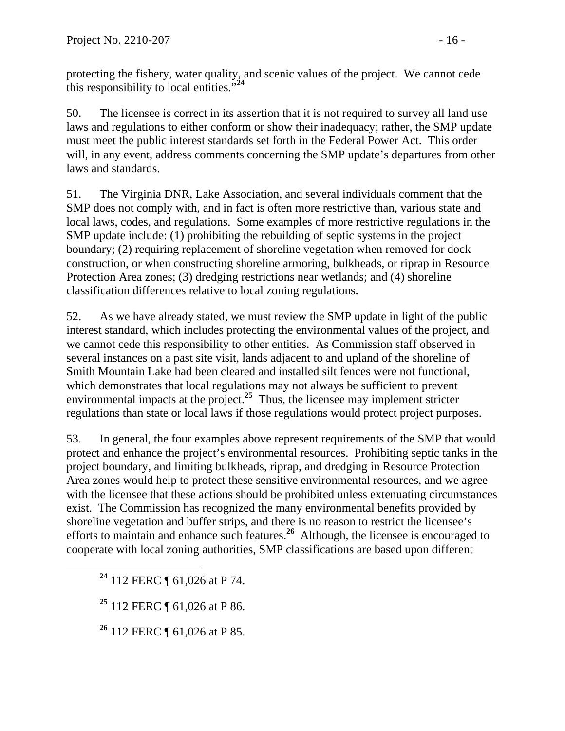protecting the fishery, water quality, and scenic values of the project. We cannot cede this responsibility to local entities."**<sup>24</sup>**

50. The licensee is correct in its assertion that it is not required to survey all land use laws and regulations to either conform or show their inadequacy; rather, the SMP update must meet the public interest standards set forth in the Federal Power Act. This order will, in any event, address comments concerning the SMP update's departures from other laws and standards.

51. The Virginia DNR, Lake Association, and several individuals comment that the SMP does not comply with, and in fact is often more restrictive than, various state and local laws, codes, and regulations. Some examples of more restrictive regulations in the SMP update include: (1) prohibiting the rebuilding of septic systems in the project boundary; (2) requiring replacement of shoreline vegetation when removed for dock construction, or when constructing shoreline armoring, bulkheads, or riprap in Resource Protection Area zones; (3) dredging restrictions near wetlands; and (4) shoreline classification differences relative to local zoning regulations.

52. As we have already stated, we must review the SMP update in light of the public interest standard, which includes protecting the environmental values of the project, and we cannot cede this responsibility to other entities. As Commission staff observed in several instances on a past site visit, lands adjacent to and upland of the shoreline of Smith Mountain Lake had been cleared and installed silt fences were not functional, which demonstrates that local regulations may not always be sufficient to prevent environmental impacts at the project.**<sup>25</sup>** Thus, the licensee may implement stricter regulations than state or local laws if those regulations would protect project purposes.

53. In general, the four examples above represent requirements of the SMP that would protect and enhance the project's environmental resources. Prohibiting septic tanks in the project boundary, and limiting bulkheads, riprap, and dredging in Resource Protection Area zones would help to protect these sensitive environmental resources, and we agree with the licensee that these actions should be prohibited unless extenuating circumstances exist. The Commission has recognized the many environmental benefits provided by shoreline vegetation and buffer strips, and there is no reason to restrict the licensee's efforts to maintain and enhance such features.**<sup>26</sup>** Although, the licensee is encouraged to cooperate with local zoning authorities, SMP classifications are based upon different

**<sup>24</sup>** 112 FERC ¶ 61,026 at P 74.

**<sup>25</sup>** 112 FERC ¶ 61,026 at P 86.

**<sup>26</sup>** 112 FERC ¶ 61,026 at P 85.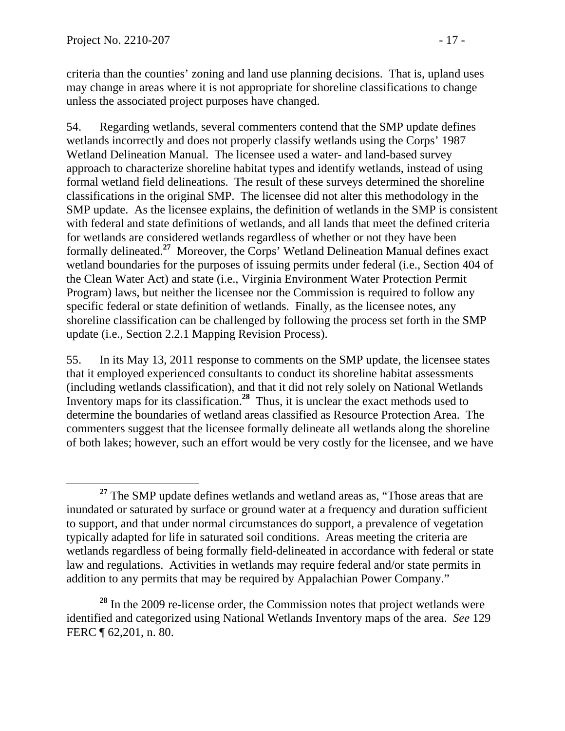criteria than the counties' zoning and land use planning decisions. That is, upland uses may change in areas where it is not appropriate for shoreline classifications to change unless the associated project purposes have changed.

54. Regarding wetlands, several commenters contend that the SMP update defines wetlands incorrectly and does not properly classify wetlands using the Corps' 1987 Wetland Delineation Manual. The licensee used a water- and land-based survey approach to characterize shoreline habitat types and identify wetlands, instead of using formal wetland field delineations. The result of these surveys determined the shoreline classifications in the original SMP. The licensee did not alter this methodology in the SMP update. As the licensee explains, the definition of wetlands in the SMP is consistent with federal and state definitions of wetlands, and all lands that meet the defined criteria for wetlands are considered wetlands regardless of whether or not they have been formally delineated.**<sup>27</sup>** Moreover, the Corps' Wetland Delineation Manual defines exact wetland boundaries for the purposes of issuing permits under federal (i.e., Section 404 of the Clean Water Act) and state (i.e., Virginia Environment Water Protection Permit Program) laws, but neither the licensee nor the Commission is required to follow any specific federal or state definition of wetlands. Finally, as the licensee notes, any shoreline classification can be challenged by following the process set forth in the SMP update (i.e., Section 2.2.1 Mapping Revision Process).

55. In its May 13, 2011 response to comments on the SMP update, the licensee states that it employed experienced consultants to conduct its shoreline habitat assessments (including wetlands classification), and that it did not rely solely on National Wetlands Inventory maps for its classification.**<sup>28</sup>** Thus, it is unclear the exact methods used to determine the boundaries of wetland areas classified as Resource Protection Area. The commenters suggest that the licensee formally delineate all wetlands along the shoreline of both lakes; however, such an effort would be very costly for the licensee, and we have

<sup>&</sup>lt;sup>27</sup> The SMP update defines wetlands and wetland areas as, "Those areas that are inundated or saturated by surface or ground water at a frequency and duration sufficient to support, and that under normal circumstances do support, a prevalence of vegetation typically adapted for life in saturated soil conditions. Areas meeting the criteria are wetlands regardless of being formally field-delineated in accordance with federal or state law and regulations. Activities in wetlands may require federal and/or state permits in addition to any permits that may be required by Appalachian Power Company."

**<sup>28</sup>** In the 2009 re-license order, the Commission notes that project wetlands were identified and categorized using National Wetlands Inventory maps of the area. *See* 129 FERC ¶ 62,201, n. 80.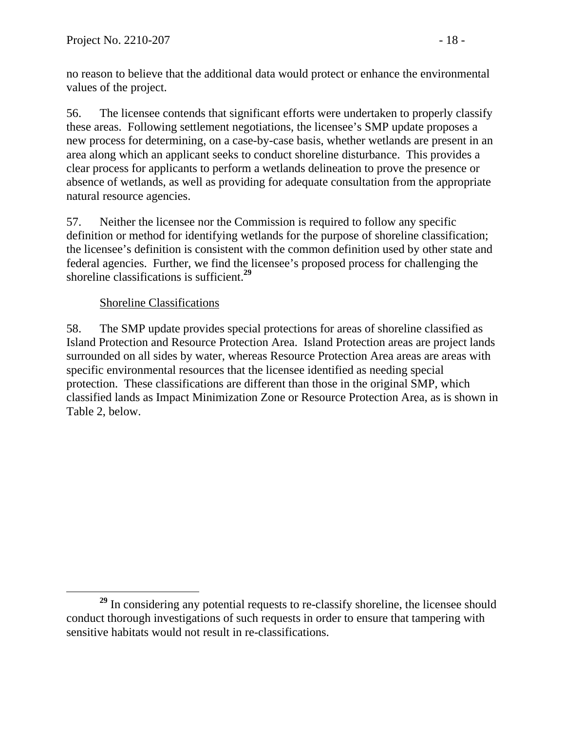no reason to believe that the additional data would protect or enhance the environmental values of the project.

56. The licensee contends that significant efforts were undertaken to properly classify these areas. Following settlement negotiations, the licensee's SMP update proposes a new process for determining, on a case-by-case basis, whether wetlands are present in an area along which an applicant seeks to conduct shoreline disturbance. This provides a clear process for applicants to perform a wetlands delineation to prove the presence or absence of wetlands, as well as providing for adequate consultation from the appropriate natural resource agencies.

57. Neither the licensee nor the Commission is required to follow any specific definition or method for identifying wetlands for the purpose of shoreline classification; the licensee's definition is consistent with the common definition used by other state and federal agencies. Further, we find the licensee's proposed process for challenging the shoreline classifications is sufficient.**<sup>29</sup>**

### Shoreline Classifications

58. The SMP update provides special protections for areas of shoreline classified as Island Protection and Resource Protection Area. Island Protection areas are project lands surrounded on all sides by water, whereas Resource Protection Area areas are areas with specific environmental resources that the licensee identified as needing special protection. These classifications are different than those in the original SMP, which classified lands as Impact Minimization Zone or Resource Protection Area, as is shown in Table 2, below.

<sup>&</sup>lt;sup>29</sup> In considering any potential requests to re-classify shoreline, the licensee should conduct thorough investigations of such requests in order to ensure that tampering with sensitive habitats would not result in re-classifications.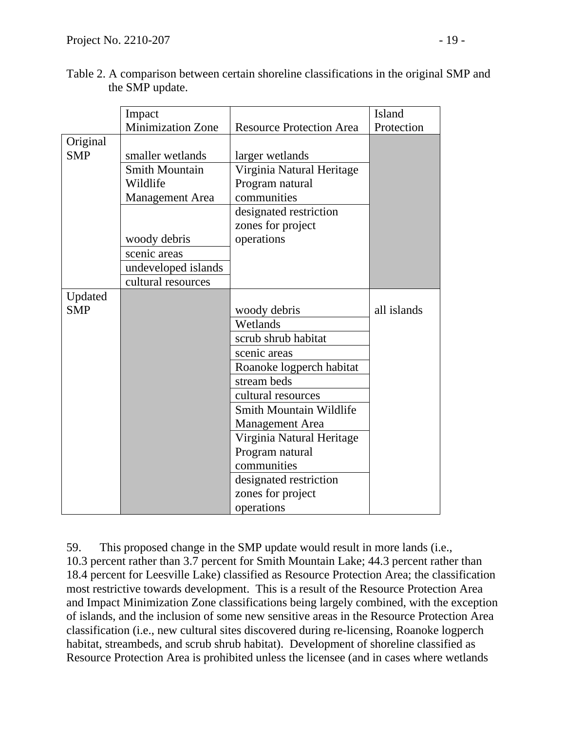|            | Impact                   |                                 | Island      |
|------------|--------------------------|---------------------------------|-------------|
|            | <b>Minimization Zone</b> | <b>Resource Protection Area</b> | Protection  |
| Original   |                          |                                 |             |
| <b>SMP</b> | smaller wetlands         | larger wetlands                 |             |
|            | <b>Smith Mountain</b>    | Virginia Natural Heritage       |             |
|            | Wildlife                 | Program natural                 |             |
|            | <b>Management</b> Area   | communities                     |             |
|            |                          | designated restriction          |             |
|            |                          | zones for project               |             |
|            | woody debris             | operations                      |             |
|            | scenic areas             |                                 |             |
|            | undeveloped islands      |                                 |             |
|            | cultural resources       |                                 |             |
| Updated    |                          |                                 |             |
| <b>SMP</b> |                          | woody debris                    | all islands |
|            |                          | Wetlands                        |             |
|            |                          | scrub shrub habitat             |             |
|            |                          | scenic areas                    |             |
|            |                          | Roanoke logperch habitat        |             |
|            |                          | stream beds                     |             |
|            |                          | cultural resources              |             |
|            |                          | <b>Smith Mountain Wildlife</b>  |             |
|            |                          | <b>Management Area</b>          |             |
|            |                          | Virginia Natural Heritage       |             |
|            |                          | Program natural                 |             |
|            |                          | communities                     |             |
|            |                          | designated restriction          |             |
|            |                          | zones for project               |             |
|            |                          | operations                      |             |

| Table 2. A comparison between certain shoreline classifications in the original SMP and |  |  |
|-----------------------------------------------------------------------------------------|--|--|
| the SMP update.                                                                         |  |  |

59. This proposed change in the SMP update would result in more lands (i.e., 10.3 percent rather than 3.7 percent for Smith Mountain Lake; 44.3 percent rather than 18.4 percent for Leesville Lake) classified as Resource Protection Area; the classification most restrictive towards development. This is a result of the Resource Protection Area and Impact Minimization Zone classifications being largely combined, with the exception of islands, and the inclusion of some new sensitive areas in the Resource Protection Area classification (i.e., new cultural sites discovered during re-licensing, Roanoke logperch habitat, streambeds, and scrub shrub habitat). Development of shoreline classified as Resource Protection Area is prohibited unless the licensee (and in cases where wetlands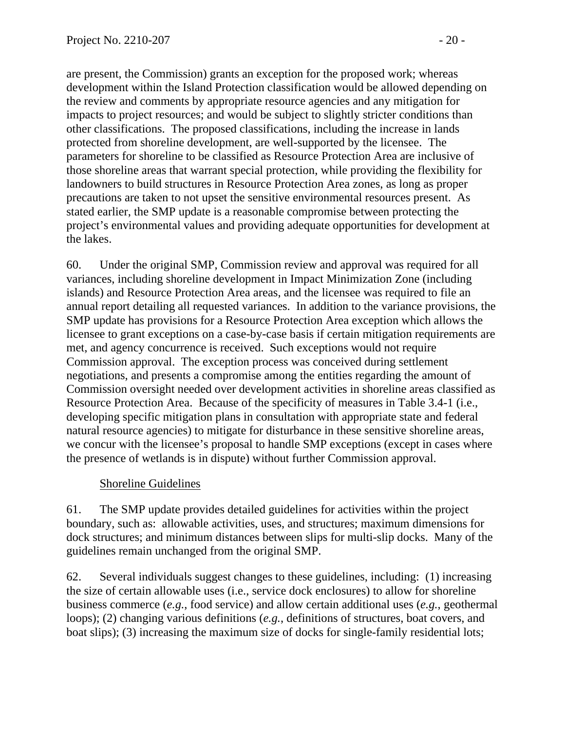are present, the Commission) grants an exception for the proposed work; whereas development within the Island Protection classification would be allowed depending on the review and comments by appropriate resource agencies and any mitigation for impacts to project resources; and would be subject to slightly stricter conditions than other classifications. The proposed classifications, including the increase in lands protected from shoreline development, are well-supported by the licensee. The parameters for shoreline to be classified as Resource Protection Area are inclusive of those shoreline areas that warrant special protection, while providing the flexibility for landowners to build structures in Resource Protection Area zones, as long as proper precautions are taken to not upset the sensitive environmental resources present. As stated earlier, the SMP update is a reasonable compromise between protecting the project's environmental values and providing adequate opportunities for development at the lakes.

60. Under the original SMP, Commission review and approval was required for all variances, including shoreline development in Impact Minimization Zone (including islands) and Resource Protection Area areas, and the licensee was required to file an annual report detailing all requested variances. In addition to the variance provisions, the SMP update has provisions for a Resource Protection Area exception which allows the licensee to grant exceptions on a case-by-case basis if certain mitigation requirements are met, and agency concurrence is received. Such exceptions would not require Commission approval. The exception process was conceived during settlement negotiations, and presents a compromise among the entities regarding the amount of Commission oversight needed over development activities in shoreline areas classified as Resource Protection Area. Because of the specificity of measures in Table 3.4-1 (i.e., developing specific mitigation plans in consultation with appropriate state and federal natural resource agencies) to mitigate for disturbance in these sensitive shoreline areas, we concur with the licensee's proposal to handle SMP exceptions (except in cases where the presence of wetlands is in dispute) without further Commission approval.

# Shoreline Guidelines

61. The SMP update provides detailed guidelines for activities within the project boundary, such as: allowable activities, uses, and structures; maximum dimensions for dock structures; and minimum distances between slips for multi-slip docks. Many of the guidelines remain unchanged from the original SMP.

62. Several individuals suggest changes to these guidelines, including: (1) increasing the size of certain allowable uses (i.e., service dock enclosures) to allow for shoreline business commerce (*e.g.*, food service) and allow certain additional uses (*e.g.*, geothermal loops); (2) changing various definitions (*e.g.*, definitions of structures, boat covers, and boat slips); (3) increasing the maximum size of docks for single-family residential lots;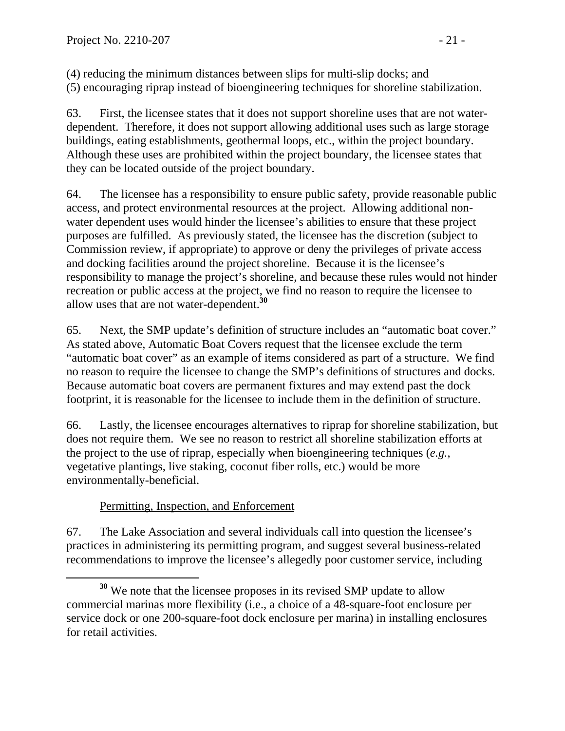(4) reducing the minimum distances between slips for multi-slip docks; and (5) encouraging riprap instead of bioengineering techniques for shoreline stabilization.

63. First, the licensee states that it does not support shoreline uses that are not waterdependent. Therefore, it does not support allowing additional uses such as large storage buildings, eating establishments, geothermal loops, etc., within the project boundary. Although these uses are prohibited within the project boundary, the licensee states that they can be located outside of the project boundary.

64. The licensee has a responsibility to ensure public safety, provide reasonable public access, and protect environmental resources at the project. Allowing additional nonwater dependent uses would hinder the licensee's abilities to ensure that these project purposes are fulfilled. As previously stated, the licensee has the discretion (subject to Commission review, if appropriate) to approve or deny the privileges of private access and docking facilities around the project shoreline. Because it is the licensee's responsibility to manage the project's shoreline, and because these rules would not hinder recreation or public access at the project, we find no reason to require the licensee to allow uses that are not water-dependent.**<sup>30</sup>**

65. Next, the SMP update's definition of structure includes an "automatic boat cover." As stated above, Automatic Boat Covers request that the licensee exclude the term "automatic boat cover" as an example of items considered as part of a structure. We find no reason to require the licensee to change the SMP's definitions of structures and docks. Because automatic boat covers are permanent fixtures and may extend past the dock footprint, it is reasonable for the licensee to include them in the definition of structure.

66. Lastly, the licensee encourages alternatives to riprap for shoreline stabilization, but does not require them. We see no reason to restrict all shoreline stabilization efforts at the project to the use of riprap, especially when bioengineering techniques (*e.g.*, vegetative plantings, live staking, coconut fiber rolls, etc.) would be more environmentally-beneficial.

# Permitting, Inspection, and Enforcement

67. The Lake Association and several individuals call into question the licensee's practices in administering its permitting program, and suggest several business-related recommendations to improve the licensee's allegedly poor customer service, including

**<sup>30</sup>** We note that the licensee proposes in its revised SMP update to allow commercial marinas more flexibility (i.e., a choice of a 48-square-foot enclosure per service dock or one 200-square-foot dock enclosure per marina) in installing enclosures for retail activities.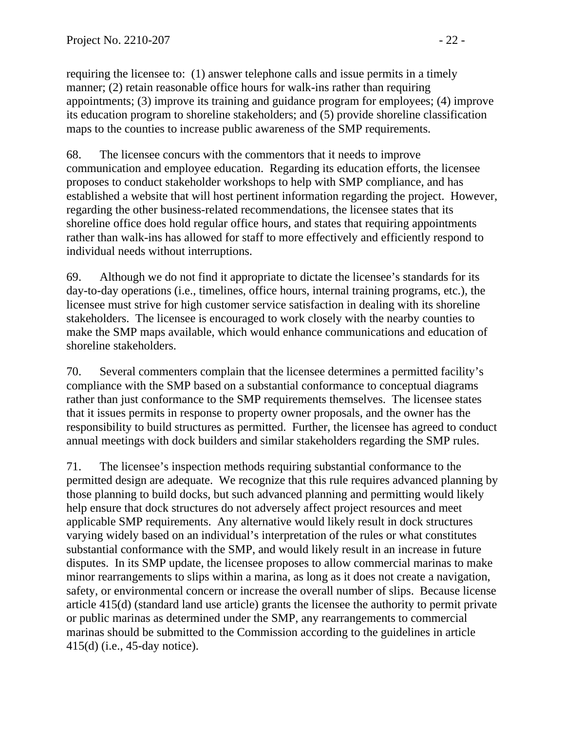requiring the licensee to: (1) answer telephone calls and issue permits in a timely manner; (2) retain reasonable office hours for walk-ins rather than requiring appointments; (3) improve its training and guidance program for employees; (4) improve its education program to shoreline stakeholders; and (5) provide shoreline classification maps to the counties to increase public awareness of the SMP requirements.

68. The licensee concurs with the commentors that it needs to improve communication and employee education. Regarding its education efforts, the licensee proposes to conduct stakeholder workshops to help with SMP compliance, and has established a website that will host pertinent information regarding the project. However, regarding the other business-related recommendations, the licensee states that its shoreline office does hold regular office hours, and states that requiring appointments rather than walk-ins has allowed for staff to more effectively and efficiently respond to individual needs without interruptions.

69. Although we do not find it appropriate to dictate the licensee's standards for its day-to-day operations (i.e., timelines, office hours, internal training programs, etc.), the licensee must strive for high customer service satisfaction in dealing with its shoreline stakeholders. The licensee is encouraged to work closely with the nearby counties to make the SMP maps available, which would enhance communications and education of shoreline stakeholders.

70. Several commenters complain that the licensee determines a permitted facility's compliance with the SMP based on a substantial conformance to conceptual diagrams rather than just conformance to the SMP requirements themselves. The licensee states that it issues permits in response to property owner proposals, and the owner has the responsibility to build structures as permitted. Further, the licensee has agreed to conduct annual meetings with dock builders and similar stakeholders regarding the SMP rules.

71. The licensee's inspection methods requiring substantial conformance to the permitted design are adequate. We recognize that this rule requires advanced planning by those planning to build docks, but such advanced planning and permitting would likely help ensure that dock structures do not adversely affect project resources and meet applicable SMP requirements. Any alternative would likely result in dock structures varying widely based on an individual's interpretation of the rules or what constitutes substantial conformance with the SMP, and would likely result in an increase in future disputes. In its SMP update, the licensee proposes to allow commercial marinas to make minor rearrangements to slips within a marina, as long as it does not create a navigation, safety, or environmental concern or increase the overall number of slips. Because license article 415(d) (standard land use article) grants the licensee the authority to permit private or public marinas as determined under the SMP, any rearrangements to commercial marinas should be submitted to the Commission according to the guidelines in article 415(d) (i.e., 45-day notice).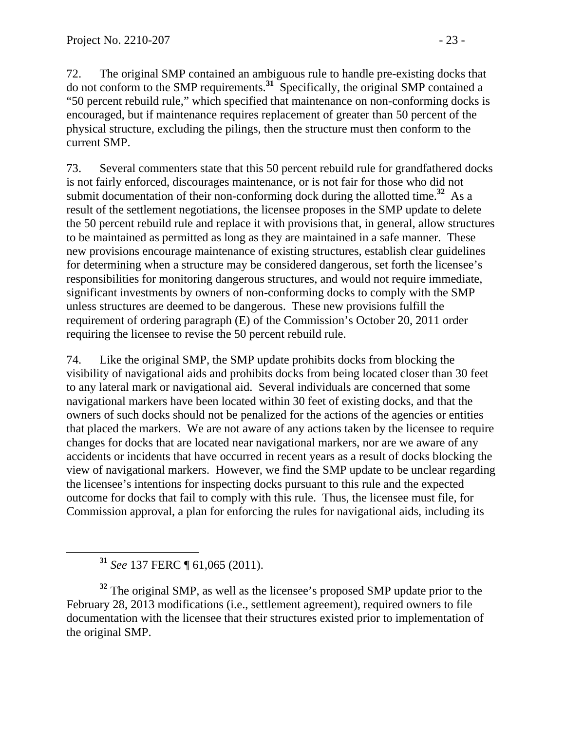72. The original SMP contained an ambiguous rule to handle pre-existing docks that do not conform to the SMP requirements.**<sup>31</sup>** Specifically, the original SMP contained a "50 percent rebuild rule," which specified that maintenance on non-conforming docks is encouraged, but if maintenance requires replacement of greater than 50 percent of the physical structure, excluding the pilings, then the structure must then conform to the current SMP.

73. Several commenters state that this 50 percent rebuild rule for grandfathered docks is not fairly enforced, discourages maintenance, or is not fair for those who did not submit documentation of their non-conforming dock during the allotted time.**<sup>32</sup>** As a result of the settlement negotiations, the licensee proposes in the SMP update to delete the 50 percent rebuild rule and replace it with provisions that, in general, allow structures to be maintained as permitted as long as they are maintained in a safe manner. These new provisions encourage maintenance of existing structures, establish clear guidelines for determining when a structure may be considered dangerous, set forth the licensee's responsibilities for monitoring dangerous structures, and would not require immediate, significant investments by owners of non-conforming docks to comply with the SMP unless structures are deemed to be dangerous. These new provisions fulfill the requirement of ordering paragraph (E) of the Commission's October 20, 2011 order requiring the licensee to revise the 50 percent rebuild rule.

74. Like the original SMP, the SMP update prohibits docks from blocking the visibility of navigational aids and prohibits docks from being located closer than 30 feet to any lateral mark or navigational aid. Several individuals are concerned that some navigational markers have been located within 30 feet of existing docks, and that the owners of such docks should not be penalized for the actions of the agencies or entities that placed the markers. We are not aware of any actions taken by the licensee to require changes for docks that are located near navigational markers, nor are we aware of any accidents or incidents that have occurred in recent years as a result of docks blocking the view of navigational markers. However, we find the SMP update to be unclear regarding the licensee's intentions for inspecting docks pursuant to this rule and the expected outcome for docks that fail to comply with this rule. Thus, the licensee must file, for Commission approval, a plan for enforcing the rules for navigational aids, including its

**<sup>31</sup>** *See* 137 FERC ¶ 61,065 (2011).

<sup>32</sup> The original SMP, as well as the licensee's proposed SMP update prior to the February 28, 2013 modifications (i.e., settlement agreement), required owners to file documentation with the licensee that their structures existed prior to implementation of the original SMP.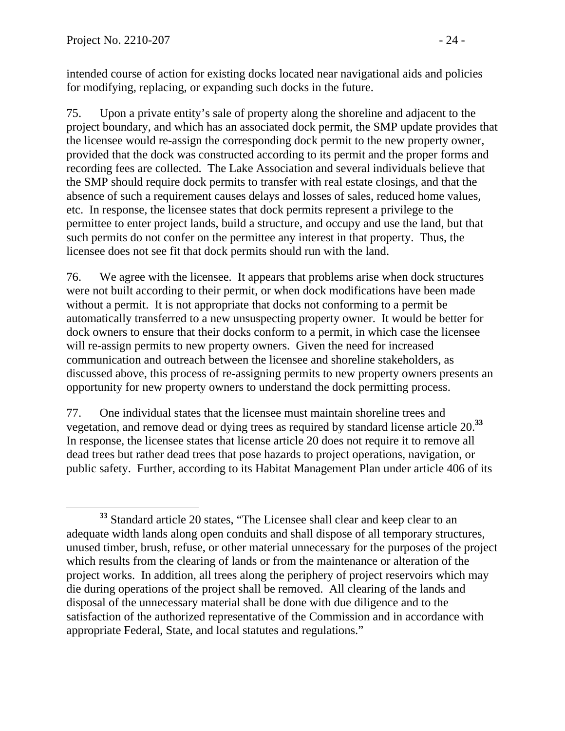intended course of action for existing docks located near navigational aids and policies for modifying, replacing, or expanding such docks in the future.

75. Upon a private entity's sale of property along the shoreline and adjacent to the project boundary, and which has an associated dock permit, the SMP update provides that the licensee would re-assign the corresponding dock permit to the new property owner, provided that the dock was constructed according to its permit and the proper forms and recording fees are collected. The Lake Association and several individuals believe that the SMP should require dock permits to transfer with real estate closings, and that the absence of such a requirement causes delays and losses of sales, reduced home values, etc. In response, the licensee states that dock permits represent a privilege to the permittee to enter project lands, build a structure, and occupy and use the land, but that such permits do not confer on the permittee any interest in that property. Thus, the licensee does not see fit that dock permits should run with the land.

76. We agree with the licensee. It appears that problems arise when dock structures were not built according to their permit, or when dock modifications have been made without a permit. It is not appropriate that docks not conforming to a permit be automatically transferred to a new unsuspecting property owner. It would be better for dock owners to ensure that their docks conform to a permit, in which case the licensee will re-assign permits to new property owners. Given the need for increased communication and outreach between the licensee and shoreline stakeholders, as discussed above, this process of re-assigning permits to new property owners presents an opportunity for new property owners to understand the dock permitting process.

77. One individual states that the licensee must maintain shoreline trees and vegetation, and remove dead or dying trees as required by standard license article 20.**<sup>33</sup>** In response, the licensee states that license article 20 does not require it to remove all dead trees but rather dead trees that pose hazards to project operations, navigation, or public safety. Further, according to its Habitat Management Plan under article 406 of its

**<sup>33</sup>** Standard article 20 states, "The Licensee shall clear and keep clear to an adequate width lands along open conduits and shall dispose of all temporary structures, unused timber, brush, refuse, or other material unnecessary for the purposes of the project which results from the clearing of lands or from the maintenance or alteration of the project works. In addition, all trees along the periphery of project reservoirs which may die during operations of the project shall be removed. All clearing of the lands and disposal of the unnecessary material shall be done with due diligence and to the satisfaction of the authorized representative of the Commission and in accordance with appropriate Federal, State, and local statutes and regulations."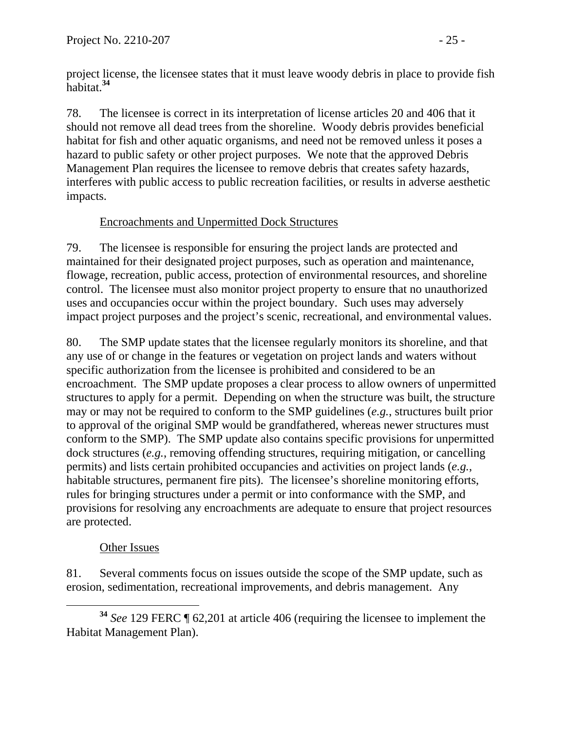project license, the licensee states that it must leave woody debris in place to provide fish habitat.**<sup>34</sup>**

78. The licensee is correct in its interpretation of license articles 20 and 406 that it should not remove all dead trees from the shoreline. Woody debris provides beneficial habitat for fish and other aquatic organisms, and need not be removed unless it poses a hazard to public safety or other project purposes. We note that the approved Debris Management Plan requires the licensee to remove debris that creates safety hazards, interferes with public access to public recreation facilities, or results in adverse aesthetic impacts.

## Encroachments and Unpermitted Dock Structures

79. The licensee is responsible for ensuring the project lands are protected and maintained for their designated project purposes, such as operation and maintenance, flowage, recreation, public access, protection of environmental resources, and shoreline control. The licensee must also monitor project property to ensure that no unauthorized uses and occupancies occur within the project boundary. Such uses may adversely impact project purposes and the project's scenic, recreational, and environmental values.

80. The SMP update states that the licensee regularly monitors its shoreline, and that any use of or change in the features or vegetation on project lands and waters without specific authorization from the licensee is prohibited and considered to be an encroachment. The SMP update proposes a clear process to allow owners of unpermitted structures to apply for a permit. Depending on when the structure was built, the structure may or may not be required to conform to the SMP guidelines (*e.g.*, structures built prior to approval of the original SMP would be grandfathered, whereas newer structures must conform to the SMP). The SMP update also contains specific provisions for unpermitted dock structures (*e.g.*, removing offending structures, requiring mitigation, or cancelling permits) and lists certain prohibited occupancies and activities on project lands (*e.g.*, habitable structures, permanent fire pits). The licensee's shoreline monitoring efforts, rules for bringing structures under a permit or into conformance with the SMP, and provisions for resolving any encroachments are adequate to ensure that project resources are protected.

# Other Issues

81. Several comments focus on issues outside the scope of the SMP update, such as erosion, sedimentation, recreational improvements, and debris management. Any

**<sup>34</sup>** *See* 129 FERC ¶ 62,201 at article 406 (requiring the licensee to implement the Habitat Management Plan).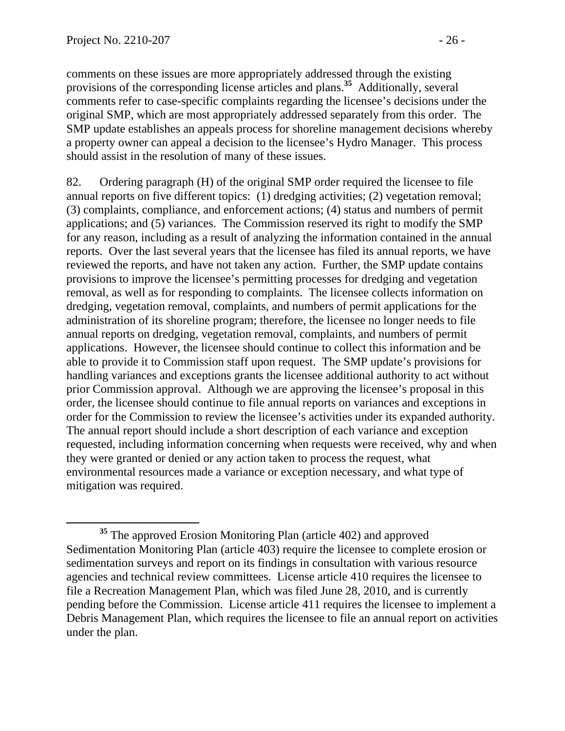comments on these issues are more appropriately addressed through the existing provisions of the corresponding license articles and plans.**<sup>35</sup>** Additionally, several comments refer to case-specific complaints regarding the licensee's decisions under the original SMP, which are most appropriately addressed separately from this order. The SMP update establishes an appeals process for shoreline management decisions whereby a property owner can appeal a decision to the licensee's Hydro Manager. This process should assist in the resolution of many of these issues.

82. Ordering paragraph (H) of the original SMP order required the licensee to file annual reports on five different topics: (1) dredging activities; (2) vegetation removal; (3) complaints, compliance, and enforcement actions; (4) status and numbers of permit applications; and (5) variances. The Commission reserved its right to modify the SMP for any reason, including as a result of analyzing the information contained in the annual reports. Over the last several years that the licensee has filed its annual reports, we have reviewed the reports, and have not taken any action. Further, the SMP update contains provisions to improve the licensee's permitting processes for dredging and vegetation removal, as well as for responding to complaints. The licensee collects information on dredging, vegetation removal, complaints, and numbers of permit applications for the administration of its shoreline program; therefore, the licensee no longer needs to file annual reports on dredging, vegetation removal, complaints, and numbers of permit applications. However, the licensee should continue to collect this information and be able to provide it to Commission staff upon request. The SMP update's provisions for handling variances and exceptions grants the licensee additional authority to act without prior Commission approval. Although we are approving the licensee's proposal in this order, the licensee should continue to file annual reports on variances and exceptions in order for the Commission to review the licensee's activities under its expanded authority. The annual report should include a short description of each variance and exception requested, including information concerning when requests were received, why and when they were granted or denied or any action taken to process the request, what environmental resources made a variance or exception necessary, and what type of mitigation was required.

**<sup>35</sup>** The approved Erosion Monitoring Plan (article 402) and approved Sedimentation Monitoring Plan (article 403) require the licensee to complete erosion or sedimentation surveys and report on its findings in consultation with various resource agencies and technical review committees. License article 410 requires the licensee to file a Recreation Management Plan, which was filed June 28, 2010, and is currently pending before the Commission. License article 411 requires the licensee to implement a Debris Management Plan, which requires the licensee to file an annual report on activities under the plan.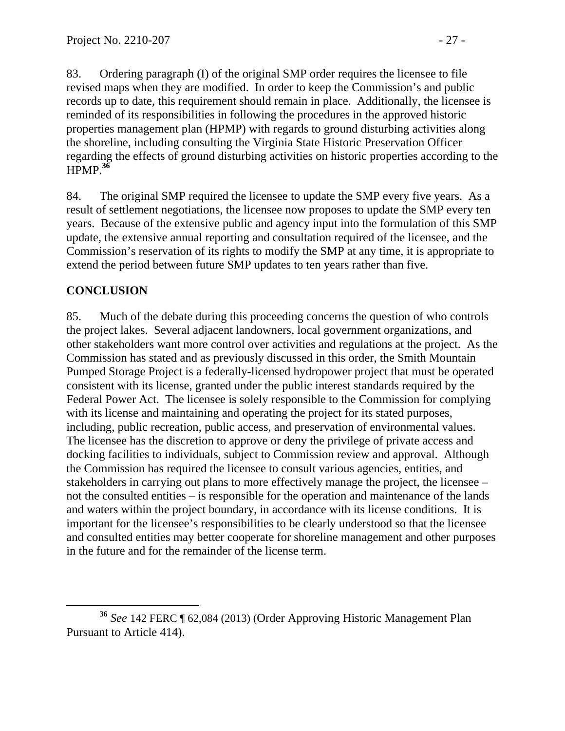83. Ordering paragraph (I) of the original SMP order requires the licensee to file revised maps when they are modified. In order to keep the Commission's and public records up to date, this requirement should remain in place. Additionally, the licensee is reminded of its responsibilities in following the procedures in the approved historic properties management plan (HPMP) with regards to ground disturbing activities along the shoreline, including consulting the Virginia State Historic Preservation Officer regarding the effects of ground disturbing activities on historic properties according to the HPMP.**<sup>36</sup>**

84. The original SMP required the licensee to update the SMP every five years. As a result of settlement negotiations, the licensee now proposes to update the SMP every ten years. Because of the extensive public and agency input into the formulation of this SMP update, the extensive annual reporting and consultation required of the licensee, and the Commission's reservation of its rights to modify the SMP at any time, it is appropriate to extend the period between future SMP updates to ten years rather than five.

# **CONCLUSION**

85. Much of the debate during this proceeding concerns the question of who controls the project lakes. Several adjacent landowners, local government organizations, and other stakeholders want more control over activities and regulations at the project. As the Commission has stated and as previously discussed in this order, the Smith Mountain Pumped Storage Project is a federally-licensed hydropower project that must be operated consistent with its license, granted under the public interest standards required by the Federal Power Act. The licensee is solely responsible to the Commission for complying with its license and maintaining and operating the project for its stated purposes, including, public recreation, public access, and preservation of environmental values. The licensee has the discretion to approve or deny the privilege of private access and docking facilities to individuals, subject to Commission review and approval. Although the Commission has required the licensee to consult various agencies, entities, and stakeholders in carrying out plans to more effectively manage the project, the licensee – not the consulted entities – is responsible for the operation and maintenance of the lands and waters within the project boundary, in accordance with its license conditions. It is important for the licensee's responsibilities to be clearly understood so that the licensee and consulted entities may better cooperate for shoreline management and other purposes in the future and for the remainder of the license term.

**<sup>36</sup>** *See* 142 FERC ¶ 62,084 (2013) (Order Approving Historic Management Plan Pursuant to Article 414).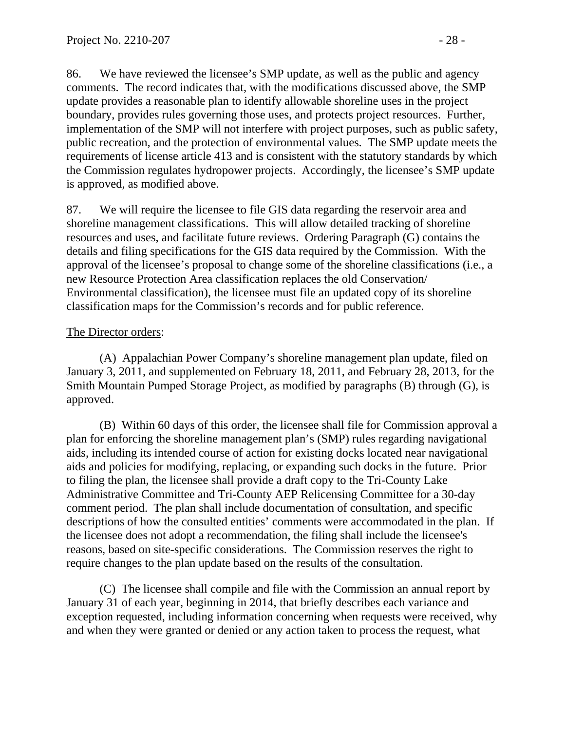86. We have reviewed the licensee's SMP update, as well as the public and agency comments. The record indicates that, with the modifications discussed above, the SMP update provides a reasonable plan to identify allowable shoreline uses in the project boundary, provides rules governing those uses, and protects project resources. Further, implementation of the SMP will not interfere with project purposes, such as public safety, public recreation, and the protection of environmental values. The SMP update meets the requirements of license article 413 and is consistent with the statutory standards by which the Commission regulates hydropower projects. Accordingly, the licensee's SMP update is approved, as modified above.

87. We will require the licensee to file GIS data regarding the reservoir area and shoreline management classifications. This will allow detailed tracking of shoreline resources and uses, and facilitate future reviews. Ordering Paragraph (G) contains the details and filing specifications for the GIS data required by the Commission. With the approval of the licensee's proposal to change some of the shoreline classifications (i.e., a new Resource Protection Area classification replaces the old Conservation/ Environmental classification), the licensee must file an updated copy of its shoreline classification maps for the Commission's records and for public reference.

#### The Director orders:

(A) Appalachian Power Company's shoreline management plan update, filed on January 3, 2011, and supplemented on February 18, 2011, and February 28, 2013, for the Smith Mountain Pumped Storage Project, as modified by paragraphs (B) through (G), is approved.

 (B) Within 60 days of this order, the licensee shall file for Commission approval a plan for enforcing the shoreline management plan's (SMP) rules regarding navigational aids, including its intended course of action for existing docks located near navigational aids and policies for modifying, replacing, or expanding such docks in the future. Prior to filing the plan, the licensee shall provide a draft copy to the Tri-County Lake Administrative Committee and Tri-County AEP Relicensing Committee for a 30-day comment period. The plan shall include documentation of consultation, and specific descriptions of how the consulted entities' comments were accommodated in the plan. If the licensee does not adopt a recommendation, the filing shall include the licensee's reasons, based on site-specific considerations.The Commission reserves the right to require changes to the plan update based on the results of the consultation.

(C) The licensee shall compile and file with the Commission an annual report by January 31 of each year, beginning in 2014, that briefly describes each variance and exception requested, including information concerning when requests were received, why and when they were granted or denied or any action taken to process the request, what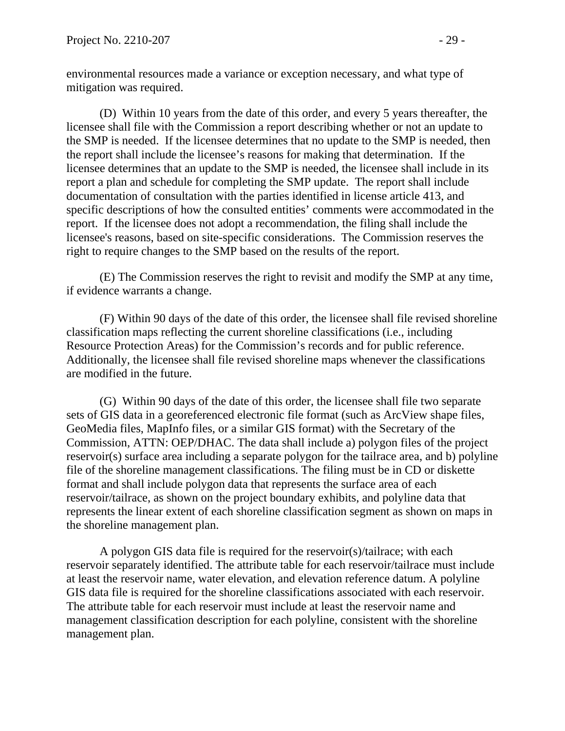environmental resources made a variance or exception necessary, and what type of mitigation was required.

(D) Within 10 years from the date of this order, and every 5 years thereafter, the licensee shall file with the Commission a report describing whether or not an update to the SMP is needed. If the licensee determines that no update to the SMP is needed, then the report shall include the licensee's reasons for making that determination. If the licensee determines that an update to the SMP is needed, the licensee shall include in its report a plan and schedule for completing the SMP update. The report shall include documentation of consultation with the parties identified in license article 413, and specific descriptions of how the consulted entities' comments were accommodated in the report. If the licensee does not adopt a recommendation, the filing shall include the licensee's reasons, based on site-specific considerations.The Commission reserves the right to require changes to the SMP based on the results of the report.

(E) The Commission reserves the right to revisit and modify the SMP at any time, if evidence warrants a change.

(F) Within 90 days of the date of this order, the licensee shall file revised shoreline classification maps reflecting the current shoreline classifications (i.e., including Resource Protection Areas) for the Commission's records and for public reference. Additionally, the licensee shall file revised shoreline maps whenever the classifications are modified in the future.

(G) Within 90 days of the date of this order, the licensee shall file two separate sets of GIS data in a georeferenced electronic file format (such as ArcView shape files, GeoMedia files, MapInfo files, or a similar GIS format) with the Secretary of the Commission, ATTN: OEP/DHAC. The data shall include a) polygon files of the project reservoir(s) surface area including a separate polygon for the tailrace area, and b) polyline file of the shoreline management classifications. The filing must be in CD or diskette format and shall include polygon data that represents the surface area of each reservoir/tailrace, as shown on the project boundary exhibits, and polyline data that represents the linear extent of each shoreline classification segment as shown on maps in the shoreline management plan.

A polygon GIS data file is required for the reservoir(s)/tailrace; with each reservoir separately identified. The attribute table for each reservoir/tailrace must include at least the reservoir name, water elevation, and elevation reference datum. A polyline GIS data file is required for the shoreline classifications associated with each reservoir. The attribute table for each reservoir must include at least the reservoir name and management classification description for each polyline, consistent with the shoreline management plan.